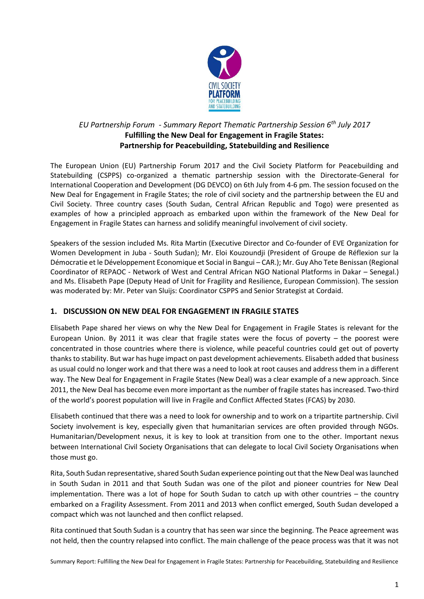

## *EU Partnership Forum - Summary Report Thematic Partnership Session 6th July 2017* **Fulfilling the New Deal for Engagement in Fragile States: Partnership for Peacebuilding, Statebuilding and Resilience**

The European Union (EU) Partnership Forum 2017 and the Civil Society Platform for Peacebuilding and Statebuilding (CSPPS) co-organized a thematic partnership session with the Directorate-General for International Cooperation and Development (DG DEVCO) on 6th July from 4-6 pm. The session focused on the New Deal for Engagement in Fragile States; the role of civil society and the partnership between the EU and Civil Society. Three country cases (South Sudan, Central African Republic and Togo) were presented as examples of how a principled approach as embarked upon within the framework of the New Deal for Engagement in Fragile States can harness and solidify meaningful involvement of civil society.

Speakers of the session included Ms. Rita Martin (Executive Director and Co-founder of EVE Organization for Women Development in Juba - South Sudan); Mr. Eloi Kouzoundji (President of Groupe de Réflexion sur la Démocratie et le Développement Economique et Social in Bangui – CAR.); Mr. Guy Aho Tete Benissan (Regional Coordinator of REPAOC - Network of West and Central African NGO National Platforms in Dakar – Senegal.) and Ms. Elisabeth Pape (Deputy Head of Unit for Fragility and Resilience, European Commission). The session was moderated by: Mr. Peter van Sluijs: Coordinator CSPPS and Senior Strategist at Cordaid.

## **1. DISCUSSION ON NEW DEAL FOR ENGAGEMENT IN FRAGILE STATES**

Elisabeth Pape shared her views on why the New Deal for Engagement in Fragile States is relevant for the European Union. By 2011 it was clear that fragile states were the focus of poverty – the poorest were concentrated in those countries where there is violence, while peaceful countries could get out of poverty thanks to stability. But war has huge impact on past development achievements. Elisabeth added that business as usual could no longer work and that there was a need to look at root causes and address them in a different way. The New Deal for Engagement in Fragile States (New Deal) was a clear example of a new approach. Since 2011, the New Deal has become even more important as the number of fragile states has increased. Two-third of the world's poorest population will live in Fragile and Conflict Affected States (FCAS) by 2030.

Elisabeth continued that there was a need to look for ownership and to work on a tripartite partnership. Civil Society involvement is key, especially given that humanitarian services are often provided through NGOs. Humanitarian/Development nexus, it is key to look at transition from one to the other. Important nexus between International Civil Society Organisations that can delegate to local Civil Society Organisations when those must go.

Rita, South Sudan representative, shared South Sudan experience pointing out that the New Deal was launched in South Sudan in 2011 and that South Sudan was one of the pilot and pioneer countries for New Deal implementation. There was a lot of hope for South Sudan to catch up with other countries – the country embarked on a Fragility Assessment. From 2011 and 2013 when conflict emerged, South Sudan developed a compact which was not launched and then conflict relapsed.

Rita continued that South Sudan is a country that has seen war since the beginning. The Peace agreement was not held, then the country relapsed into conflict. The main challenge of the peace process was that it was not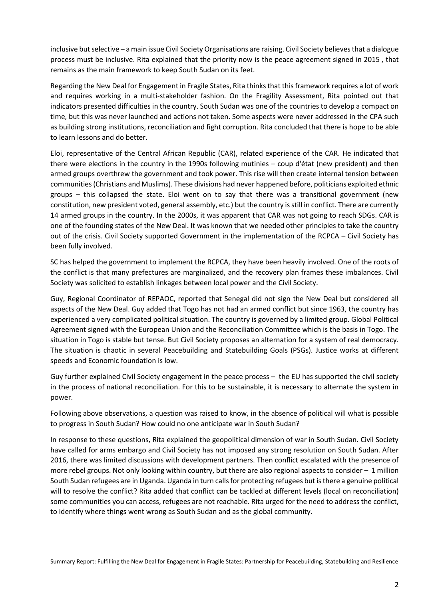inclusive but selective – a main issue Civil Society Organisations are raising. Civil Society believes that a dialogue process must be inclusive. Rita explained that the priority now is the peace agreement signed in 2015 , that remains as the main framework to keep South Sudan on its feet.

Regarding the New Deal for Engagement in Fragile States, Rita thinks that this framework requires a lot of work and requires working in a multi-stakeholder fashion. On the Fragility Assessment, Rita pointed out that indicators presented difficulties in the country. South Sudan was one of the countries to develop a compact on time, but this was never launched and actions not taken. Some aspects were never addressed in the CPA such as building strong institutions, reconciliation and fight corruption. Rita concluded that there is hope to be able to learn lessons and do better.

Eloi, representative of the Central African Republic (CAR), related experience of the CAR. He indicated that there were elections in the country in the 1990s following mutinies – coup d'état (new president) and then armed groups overthrew the government and took power. This rise will then create internal tension between communities (Christians and Muslims). These divisions had never happened before, politicians exploited ethnic groups – this collapsed the state. Eloi went on to say that there was a transitional government (new constitution, new president voted, general assembly, etc.) but the country is still in conflict. There are currently 14 armed groups in the country. In the 2000s, it was apparent that CAR was not going to reach SDGs. CAR is one of the founding states of the New Deal. It was known that we needed other principles to take the country out of the crisis. Civil Society supported Government in the implementation of the RCPCA – Civil Society has been fully involved.

SC has helped the government to implement the RCPCA, they have been heavily involved. One of the roots of the conflict is that many prefectures are marginalized, and the recovery plan frames these imbalances. Civil Society was solicited to establish linkages between local power and the Civil Society.

Guy, Regional Coordinator of REPAOC, reported that Senegal did not sign the New Deal but considered all aspects of the New Deal. Guy added that Togo has not had an armed conflict but since 1963, the country has experienced a very complicated political situation. The country is governed by a limited group. Global Political Agreement signed with the European Union and the Reconciliation Committee which is the basis in Togo. The situation in Togo is stable but tense. But Civil Society proposes an alternation for a system of real democracy. The situation is chaotic in several Peacebuilding and Statebuilding Goals (PSGs). Justice works at different speeds and Economic foundation is low.

Guy further explained Civil Society engagement in the peace process – the EU has supported the civil society in the process of national reconciliation. For this to be sustainable, it is necessary to alternate the system in power.

Following above observations, a question was raised to know, in the absence of political will what is possible to progress in South Sudan? How could no one anticipate war in South Sudan?

In response to these questions, Rita explained the geopolitical dimension of war in South Sudan. Civil Society have called for arms embargo and Civil Society has not imposed any strong resolution on South Sudan. After 2016, there was limited discussions with development partners. Then conflict escalated with the presence of more rebel groups. Not only looking within country, but there are also regional aspects to consider – 1 million South Sudan refugees are in Uganda. Uganda in turn calls for protecting refugees but is there a genuine political will to resolve the conflict? Rita added that conflict can be tackled at different levels (local on reconciliation) some communities you can access, refugees are not reachable. Rita urged for the need to address the conflict, to identify where things went wrong as South Sudan and as the global community.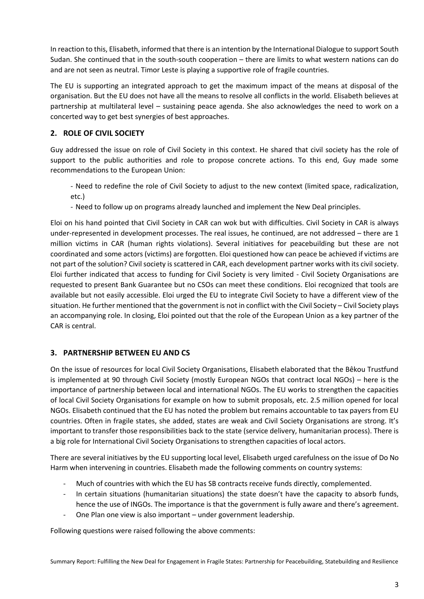In reaction to this, Elisabeth, informed that there is an intention by the International Dialogue to support South Sudan. She continued that in the south-south cooperation – there are limits to what western nations can do and are not seen as neutral. Timor Leste is playing a supportive role of fragile countries.

The EU is supporting an integrated approach to get the maximum impact of the means at disposal of the organisation. But the EU does not have all the means to resolve all conflicts in the world. Elisabeth believes at partnership at multilateral level – sustaining peace agenda. She also acknowledges the need to work on a concerted way to get best synergies of best approaches.

## **2. ROLE OF CIVIL SOCIETY**

Guy addressed the issue on role of Civil Society in this context. He shared that civil society has the role of support to the public authorities and role to propose concrete actions. To this end, Guy made some recommendations to the European Union:

- Need to redefine the role of Civil Society to adjust to the new context (limited space, radicalization, etc.)
- Need to follow up on programs already launched and implement the New Deal principles.

Eloi on his hand pointed that Civil Society in CAR can wok but with difficulties. Civil Society in CAR is always under-represented in development processes. The real issues, he continued, are not addressed – there are 1 million victims in CAR (human rights violations). Several initiatives for peacebuilding but these are not coordinated and some actors (victims) are forgotten. Eloi questioned how can peace be achieved if victims are not part of the solution? Civil society is scattered in CAR, each development partner works with its civil society. Eloi further indicated that access to funding for Civil Society is very limited - Civil Society Organisations are requested to present Bank Guarantee but no CSOs can meet these conditions. Eloi recognized that tools are available but not easily accessible. Eloi urged the EU to integrate Civil Society to have a different view of the situation. He further mentioned that the government is not in conflict with the Civil Society – Civil Society plays an accompanying role. In closing, Eloi pointed out that the role of the European Union as a key partner of the CAR is central.

## **3. PARTNERSHIP BETWEEN EU AND CS**

On the issue of resources for local Civil Society Organisations, Elisabeth elaborated that the Bêkou Trustfund is implemented at 90 through Civil Society (mostly European NGOs that contract local NGOs) – here is the importance of partnership between local and international NGOs. The EU works to strengthen the capacities of local Civil Society Organisations for example on how to submit proposals, etc. 2.5 million opened for local NGOs. Elisabeth continued that the EU has noted the problem but remains accountable to tax payers from EU countries. Often in fragile states, she added, states are weak and Civil Society Organisations are strong. It's important to transfer those responsibilities back to the state (service delivery, humanitarian process). There is a big role for International Civil Society Organisations to strengthen capacities of local actors.

There are several initiatives by the EU supporting local level, Elisabeth urged carefulness on the issue of Do No Harm when intervening in countries. Elisabeth made the following comments on country systems:

- Much of countries with which the EU has SB contracts receive funds directly, complemented.
- In certain situations (humanitarian situations) the state doesn't have the capacity to absorb funds, hence the use of INGOs. The importance is that the government is fully aware and there's agreement.
- One Plan one view is also important under government leadership.

Following questions were raised following the above comments: